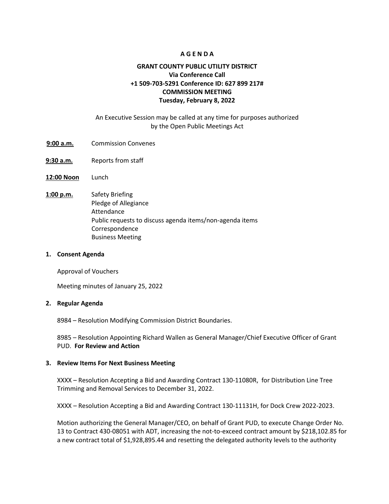## **A G E N D A**

# **GRANT COUNTY PUBLIC UTILITY DISTRICT Via Conference Call +1 509-703-5291 Conference ID: 627 899 217# COMMISSION MEETING Tuesday, February 8, 2022**

# An Executive Session may be called at any time for purposes authorized by the Open Public Meetings Act

- 9:00 a.m. Commission Convenes
- **9:30 a.m.** Reports from staff
- **12:00 Noon** Lunch
- **1:00 p.m.** Safety Briefing Pledge of Allegiance Attendance Public requests to discuss agenda items/non-agenda items Correspondence Business Meeting

#### **1. Consent Agenda**

Approval of Vouchers

Meeting minutes of January 25, 2022

### **2. Regular Agenda**

8984 – Resolution Modifying Commission District Boundaries.

8985 – Resolution Appointing Richard Wallen as General Manager/Chief Executive Officer of Grant PUD. **For Review and Action** 

### **3. Review Items For Next Business Meeting**

XXXX – Resolution Accepting a Bid and Awarding Contract 130-11080R, for Distribution Line Tree Trimming and Removal Services to December 31, 2022.

XXXX – Resolution Accepting a Bid and Awarding Contract 130-11131H, for Dock Crew 2022-2023.

Motion authorizing the General Manager/CEO, on behalf of Grant PUD, to execute Change Order No. 13 to Contract 430-08051 with ADT, increasing the not-to-exceed contract amount by \$218,102.85 for a new contract total of \$1,928,895.44 and resetting the delegated authority levels to the authority